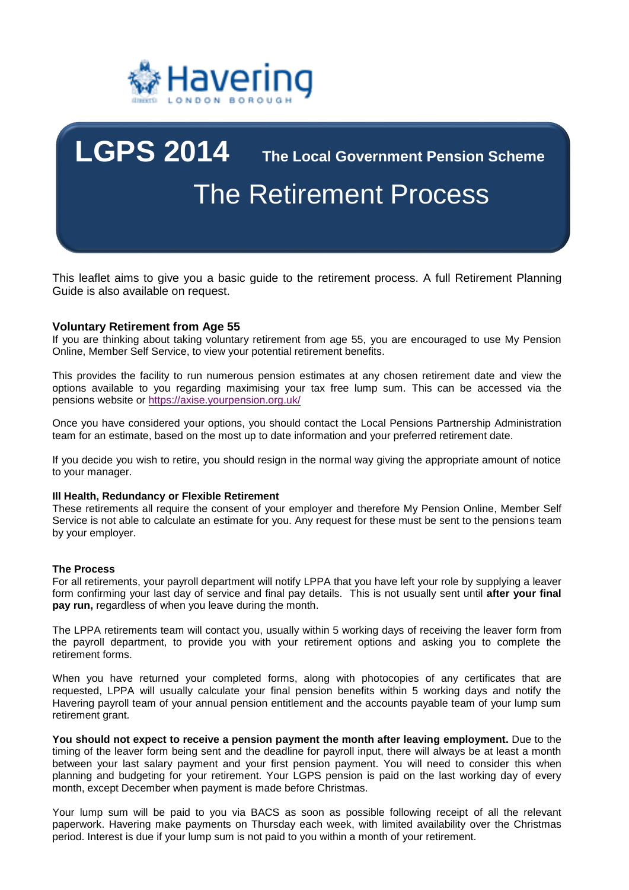

# **LGPS 2014 The Local Government Pension Scheme** The Retirement Process

This leaflet aims to give you a basic guide to the retirement process. A full Retirement Planning Guide is also available on request.

## **Voluntary Retirement from Age 55**

If you are thinking about taking voluntary retirement from age 55, you are encouraged to use My Pension Online, Member Self Service, to view your potential retirement benefits.

This provides the facility to run numerous pension estimates at any chosen retirement date and view the options available to you regarding maximising your tax free lump sum. This can be accessed via the pensions website or<https://axise.yourpension.org.uk/>

Once you have considered your options, you should contact the Local Pensions Partnership Administration team for an estimate, based on the most up to date information and your preferred retirement date.

If you decide you wish to retire, you should resign in the normal way giving the appropriate amount of notice to your manager.

### **Ill Health, Redundancy or Flexible Retirement**

These retirements all require the consent of your employer and therefore My Pension Online, Member Self Service is not able to calculate an estimate for you. Any request for these must be sent to the pensions team by your employer.

#### **The Process**

For all retirements, your payroll department will notify LPPA that you have left your role by supplying a leaver form confirming your last day of service and final pay details. This is not usually sent until **after your final pay run,** regardless of when you leave during the month.

The LPPA retirements team will contact you, usually within 5 working days of receiving the leaver form from the payroll department, to provide you with your retirement options and asking you to complete the retirement forms.

When you have returned your completed forms, along with photocopies of any certificates that are requested, LPPA will usually calculate your final pension benefits within 5 working days and notify the Havering payroll team of your annual pension entitlement and the accounts payable team of your lump sum retirement grant.

**You should not expect to receive a pension payment the month after leaving employment.** Due to the timing of the leaver form being sent and the deadline for payroll input, there will always be at least a month between your last salary payment and your first pension payment. You will need to consider this when planning and budgeting for your retirement. Your LGPS pension is paid on the last working day of every month, except December when payment is made before Christmas.

Your lump sum will be paid to you via BACS as soon as possible following receipt of all the relevant paperwork. Havering make payments on Thursday each week, with limited availability over the Christmas period. Interest is due if your lump sum is not paid to you within a month of your retirement.